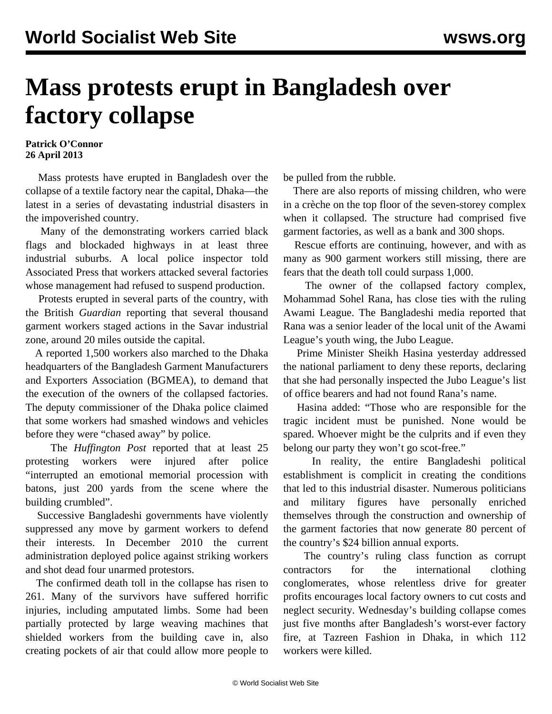## **Mass protests erupt in Bangladesh over factory collapse**

## **Patrick O'Connor 26 April 2013**

 Mass protests have erupted in Bangladesh over the collapse of a textile factory near the capital, Dhaka—the latest in a series of devastating industrial disasters in the impoverished country.

 Many of the demonstrating workers carried black flags and blockaded highways in at least three industrial suburbs. A local police inspector told Associated Press that workers attacked several factories whose management had refused to suspend production.

 Protests erupted in several parts of the country, with the British *Guardian* reporting that several thousand garment workers staged actions in the Savar industrial zone, around 20 miles outside the capital.

 A reported 1,500 workers also marched to the Dhaka headquarters of the Bangladesh Garment Manufacturers and Exporters Association (BGMEA), to demand that the execution of the owners of the collapsed factories. The deputy commissioner of the Dhaka police claimed that some workers had smashed windows and vehicles before they were "chased away" by police.

 The *Huffington Post* reported that at least 25 protesting workers were injured after police "interrupted an emotional memorial procession with batons, just 200 yards from the scene where the building crumbled".

 Successive Bangladeshi governments have violently suppressed any move by garment workers to defend their interests. In December 2010 the current administration deployed police against striking workers and shot dead four unarmed protestors.

 The confirmed death toll in the collapse has risen to 261. Many of the survivors have suffered horrific injuries, including amputated limbs. Some had been partially protected by large weaving machines that shielded workers from the building cave in, also creating pockets of air that could allow more people to

be pulled from the rubble.

 There are also reports of missing children, who were in a crèche on the top floor of the seven-storey complex when it collapsed. The structure had comprised five garment factories, as well as a bank and 300 shops.

 Rescue efforts are continuing, however, and with as many as 900 garment workers still missing, there are fears that the death toll could surpass 1,000.

 The owner of the collapsed factory complex, Mohammad Sohel Rana, has close ties with the ruling Awami League. The Bangladeshi media reported that Rana was a senior leader of the local unit of the Awami League's youth wing, the Jubo League.

 Prime Minister Sheikh Hasina yesterday addressed the national parliament to deny these reports, declaring that she had personally inspected the Jubo League's list of office bearers and had not found Rana's name.

 Hasina added: "Those who are responsible for the tragic incident must be punished. None would be spared. Whoever might be the culprits and if even they belong our party they won't go scot-free."

 In reality, the entire Bangladeshi political establishment is complicit in creating the conditions that led to this industrial disaster. Numerous politicians and military figures have personally enriched themselves through the construction and ownership of the garment factories that now generate 80 percent of the country's \$24 billion annual exports.

 The country's ruling class function as corrupt contractors for the international clothing conglomerates, whose relentless drive for greater profits encourages local factory owners to cut costs and neglect security. Wednesday's building collapse comes just five months after Bangladesh's worst-ever factory fire, at Tazreen Fashion in Dhaka, in which 112 workers were killed.